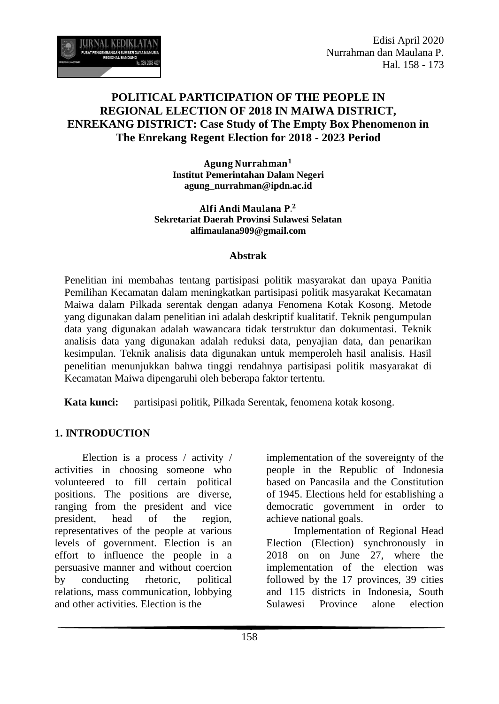

Edisi April 2020 Nurrahman dan Maulana P. Hal. 158 - 173

# **POLITICAL PARTICIPATION OF THE PEOPLE IN REGIONAL ELECTION OF 2018 IN MAIWA DISTRICT, ENREKANG DISTRICT: Case Study of The Empty Box Phenomenon in The Enrekang Regent Election for 2018 - 2023 Period**

Agung Nurrahman<sup>1</sup> **Institut Pemerintahan Dalam Negeri agung\_nurrahman@ipdn.ac.id**

Alfi Andi Maulana P.<sup>2</sup> **Sekretariat Daerah Provinsi Sulawesi Selatan alfimaulana909@gmail.com**

#### **Abstrak**

Penelitian ini membahas tentang partisipasi politik masyarakat dan upaya Panitia Pemilihan Kecamatan dalam meningkatkan partisipasi politik masyarakat Kecamatan Maiwa dalam Pilkada serentak dengan adanya Fenomena Kotak Kosong. Metode yang digunakan dalam penelitian ini adalah deskriptif kualitatif. Teknik pengumpulan data yang digunakan adalah wawancara tidak terstruktur dan dokumentasi. Teknik analisis data yang digunakan adalah reduksi data, penyajian data, dan penarikan kesimpulan. Teknik analisis data digunakan untuk memperoleh hasil analisis. Hasil penelitian menunjukkan bahwa tinggi rendahnya partisipasi politik masyarakat di Kecamatan Maiwa dipengaruhi oleh beberapa faktor tertentu.

**Kata kunci:** partisipasi politik, Pilkada Serentak, fenomena kotak kosong.

#### **1. INTRODUCTION**

Election is a process / activity / activities in choosing someone who volunteered to fill certain political positions. The positions are diverse, ranging from the president and vice president, head of the region, representatives of the people at various levels of government. Election is an effort to influence the people in a persuasive manner and without coercion by conducting rhetoric, political relations, mass communication, lobbying and other activities. Election is the

implementation of the sovereignty of the people in the Republic of Indonesia based on Pancasila and the Constitution of 1945. Elections held for establishing a democratic government in order to achieve national goals.

Implementation of Regional Head Election (Election) synchronously in 2018 on on June 27, where the implementation of the election was followed by the 17 provinces, 39 cities and 115 districts in Indonesia, South Sulawesi Province alone election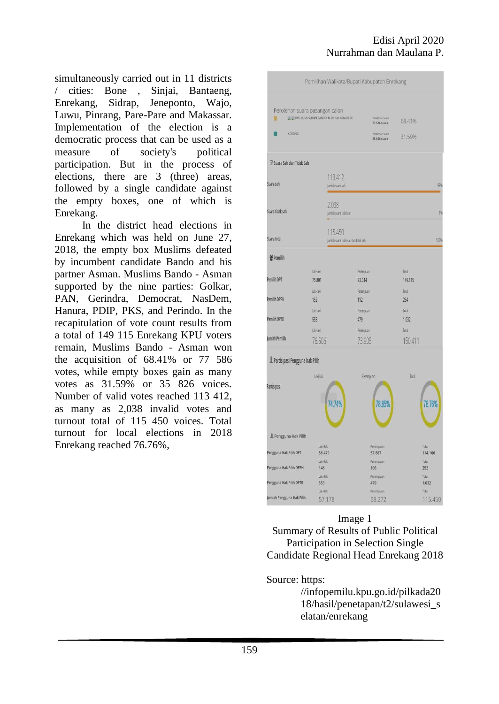simultaneously carried out in 11 districts / cities: Bone , Sinjai, Bantaeng, Enrekang, Sidrap, Jeneponto, Wajo, Luwu, Pinrang, Pare-Pare and Makassar. Implementation of the election is a democratic process that can be used as a measure of society's political participation. But in the process of elections, there are 3 (three) areas, followed by a single candidate against the empty boxes, one of which is Enrekang.

In the district head elections in Enrekang which was held on June 27, 2018, the empty box Muslims defeated by incumbent candidate Bando and his partner Asman. Muslims Bando - Asman supported by the nine parties: Golkar, PAN, Gerindra, Democrat, NasDem, Hanura, PDIP, PKS, and Perindo. In the recapitulation of vote count results from a total of 149 115 Enrekang KPU voters remain, Muslims Bando - Asman won the acquisition of 68.41% or 77 586 votes, while empty boxes gain as many votes as 31.59% or 35 826 voices. Number of valid votes reached 113 412, as many as 2,038 invalid votes and turnout total of 115 450 voices. Total turnout for local elections in 2018 Enrekang reached 76.76%,

|                                                                              |                                                                                 | Pemilihan Walikota/Bupati Kabupaten Enrekang            |                         |  |
|------------------------------------------------------------------------------|---------------------------------------------------------------------------------|---------------------------------------------------------|-------------------------|--|
| M                                                                            | Perolehan suara pasangan calon<br>DE DRS. H. MUSLIMIN BANDO, M.Pd dan ASMAN, SE | Perolehan suara<br>77.586 suara                         | 68.41%                  |  |
| KOSONG                                                                       |                                                                                 | Perolehan suara<br>35.826 suara                         | 31.59%                  |  |
| If Suara Sah dan Tidak Sah                                                   |                                                                                 |                                                         |                         |  |
| Suara sah                                                                    |                                                                                 | 113,412<br>Jumlah suara sah<br>98%                      |                         |  |
| Suara tidak sah                                                              | 2.038<br>Jumlah suara tidak sah                                                 |                                                         | 1%                      |  |
| Suara total                                                                  |                                                                                 | 115.450<br>100%<br>Jumlah suara tidak sah dan tidak sah |                         |  |
| 酱 Pemilih                                                                    |                                                                                 |                                                         |                         |  |
| Pemilih DPT                                                                  | Laki-laki<br>75.801                                                             | Perempuan<br>73.314                                     | Total<br>149.115        |  |
| Pemilih DPPH                                                                 | Laki-laki<br>152                                                                | Perempuan<br>112                                        | Total<br>264            |  |
| Pemilih DPTB                                                                 | Lak-laki<br>553                                                                 | Perempuan<br>479                                        | Total<br>1.032          |  |
| Jumlah Pemilih                                                               | Laki-laki<br>76,506                                                             | Perempuan<br>73.905                                     | Total<br>150,411        |  |
| Partisipasi Pengguna hak Pilih                                               |                                                                                 |                                                         |                         |  |
| Partisipasi                                                                  | Laki-laki                                                                       | Perempuan                                               | Total                   |  |
|                                                                              |                                                                                 | 78.85%                                                  | 76.76%                  |  |
|                                                                              | 74.74%                                                                          |                                                         |                         |  |
| Pengguna Hak Pilih                                                           |                                                                                 |                                                         |                         |  |
|                                                                              | Laki-laki<br>56.479                                                             | Perempuan<br>57.687                                     | Total<br>114.166        |  |
|                                                                              | Laki-laki<br>146                                                                | Perempuan<br>106                                        | Total<br>252            |  |
| Pengguna Hak Pilih DPT<br>Pengguna Hak Pilih DPPH<br>Pengguna Hak Pilih DPTB | Laki-laki<br>553<br>Laki-laki                                                   | Perempuan<br>479<br>Perempuan                           | Total<br>1.032<br>Total |  |

Image 1 Summary of Results of Public Political Participation in Selection Single Candidate Regional Head Enrekang 2018

Source: https:

//infopemilu.kpu.go.id/pilkada20 18/hasil/penetapan/t2/sulawesi\_s elatan/enrekang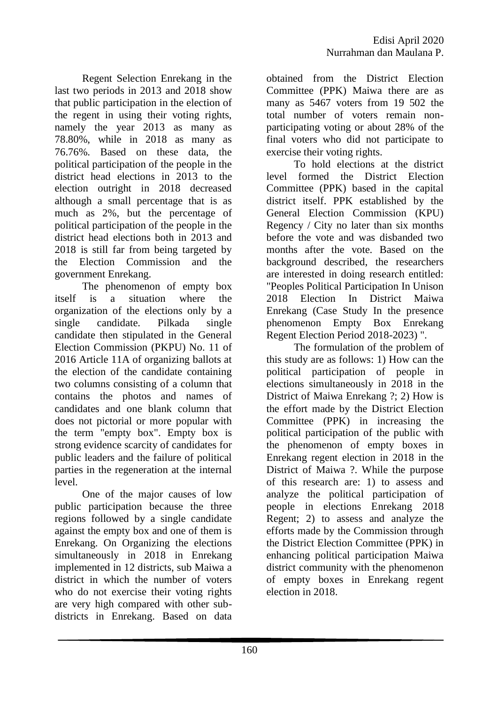Regent Selection Enrekang in the last two periods in 2013 and 2018 show that public participation in the election of the regent in using their voting rights, namely the year 2013 as many as 78.80%, while in 2018 as many as 76.76%. Based on these data, the political participation of the people in the district head elections in 2013 to the election outright in 2018 decreased although a small percentage that is as much as 2%, but the percentage of political participation of the people in the district head elections both in 2013 and 2018 is still far from being targeted by the Election Commission and the government Enrekang.

The phenomenon of empty box itself is a situation where the organization of the elections only by a single candidate. Pilkada single candidate then stipulated in the General Election Commission (PKPU) No. 11 of 2016 Article 11A of organizing ballots at the election of the candidate containing two columns consisting of a column that contains the photos and names of candidates and one blank column that does not pictorial or more popular with the term "empty box". Empty box is strong evidence scarcity of candidates for public leaders and the failure of political parties in the regeneration at the internal level.

One of the major causes of low public participation because the three regions followed by a single candidate against the empty box and one of them is Enrekang. On Organizing the elections simultaneously in 2018 in Enrekang implemented in 12 districts, sub Maiwa a district in which the number of voters who do not exercise their voting rights are very high compared with other subdistricts in Enrekang. Based on data obtained from the District Election Committee (PPK) Maiwa there are as many as 5467 voters from 19 502 the total number of voters remain nonparticipating voting or about 28% of the final voters who did not participate to exercise their voting rights.

To hold elections at the district level formed the District Election Committee (PPK) based in the capital district itself. PPK established by the General Election Commission (KPU) Regency / City no later than six months before the vote and was disbanded two months after the vote. Based on the background described, the researchers are interested in doing research entitled: "Peoples Political Participation In Unison 2018 Election In District Maiwa Enrekang (Case Study In the presence phenomenon Empty Box Enrekang Regent Election Period 2018-2023) ".

The formulation of the problem of this study are as follows: 1) How can the political participation of people in elections simultaneously in 2018 in the District of Maiwa Enrekang ?; 2) How is the effort made by the District Election Committee (PPK) in increasing the political participation of the public with the phenomenon of empty boxes in Enrekang regent election in 2018 in the District of Maiwa ?. While the purpose of this research are: 1) to assess and analyze the political participation of people in elections Enrekang 2018 Regent; 2) to assess and analyze the efforts made by the Commission through the District Election Committee (PPK) in enhancing political participation Maiwa district community with the phenomenon of empty boxes in Enrekang regent election in 2018.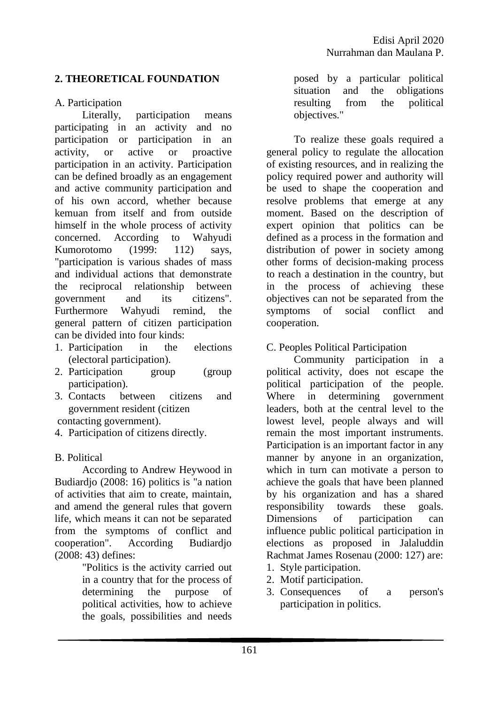# **2. THEORETICAL FOUNDATION**

### A. Participation

Literally, participation means participating in an activity and no participation or participation in an activity, or active or proactive participation in an activity. Participation can be defined broadly as an engagement and active community participation and of his own accord, whether because kemuan from itself and from outside himself in the whole process of activity concerned. According to Wahyudi Kumorotomo (1999: 112) says, "participation is various shades of mass and individual actions that demonstrate the reciprocal relationship between government and its citizens". Furthermore Wahyudi remind, the general pattern of citizen participation can be divided into four kinds:

- 1. Participation in the elections (electoral participation).
- 2. Participation group (group participation).
- 3. Contacts between citizens and government resident (citizen

contacting government).

4. Participation of citizens directly.

# B. Political

According to Andrew Heywood in Budiardjo (2008: 16) politics is "a nation of activities that aim to create, maintain, and amend the general rules that govern life, which means it can not be separated from the symptoms of conflict and cooperation". According Budiardjo (2008: 43) defines:

> "Politics is the activity carried out in a country that for the process of determining the purpose of political activities, how to achieve the goals, possibilities and needs

posed by a particular political situation and the obligations resulting from the political objectives."

To realize these goals required a general policy to regulate the allocation of existing resources, and in realizing the policy required power and authority will be used to shape the cooperation and resolve problems that emerge at any moment. Based on the description of expert opinion that politics can be defined as a process in the formation and distribution of power in society among other forms of decision-making process to reach a destination in the country, but in the process of achieving these objectives can not be separated from the symptoms of social conflict and cooperation.

C. Peoples Political Participation

Community participation in a political activity, does not escape the political participation of the people. Where in determining government leaders, both at the central level to the lowest level, people always and will remain the most important instruments. Participation is an important factor in any manner by anyone in an organization, which in turn can motivate a person to achieve the goals that have been planned by his organization and has a shared responsibility towards these goals. Dimensions of participation can influence public political participation in elections as proposed in Jalaluddin Rachmat James Rosenau (2000: 127) are: 1. Style participation.

- 2. Motif participation.
- 3. Consequences of a person's participation in politics.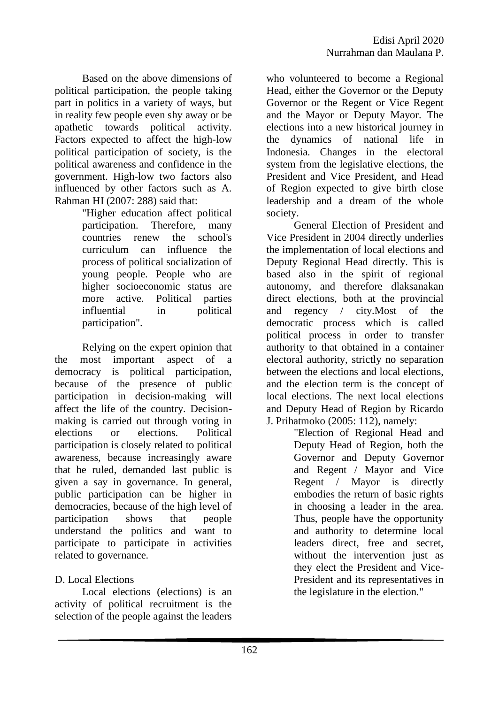Based on the above dimensions of political participation, the people taking part in politics in a variety of ways, but in reality few people even shy away or be apathetic towards political activity. Factors expected to affect the high-low political participation of society, is the political awareness and confidence in the government. High-low two factors also influenced by other factors such as A. Rahman HI (2007: 288) said that:

"Higher education affect political participation. Therefore, many countries renew the school's curriculum can influence the process of political socialization of young people. People who are higher socioeconomic status are more active. Political parties influential in political participation".

Relying on the expert opinion that the most important aspect of a democracy is political participation, because of the presence of public participation in decision-making will affect the life of the country. Decisionmaking is carried out through voting in elections or elections. Political participation is closely related to political awareness, because increasingly aware that he ruled, demanded last public is given a say in governance. In general, public participation can be higher in democracies, because of the high level of participation shows that people understand the politics and want to participate to participate in activities related to governance.

# D. Local Elections

Local elections (elections) is an activity of political recruitment is the selection of the people against the leaders

who volunteered to become a Regional Head, either the Governor or the Deputy Governor or the Regent or Vice Regent and the Mayor or Deputy Mayor. The elections into a new historical journey in the dynamics of national life in Indonesia. Changes in the electoral system from the legislative elections, the President and Vice President, and Head of Region expected to give birth close leadership and a dream of the whole society.

General Election of President and Vice President in 2004 directly underlies the implementation of local elections and Deputy Regional Head directly. This is based also in the spirit of regional autonomy, and therefore dlaksanakan direct elections, both at the provincial and regency / city.Most of the democratic process which is called political process in order to transfer authority to that obtained in a container electoral authority, strictly no separation between the elections and local elections, and the election term is the concept of local elections. The next local elections and Deputy Head of Region by Ricardo J. Prihatmoko (2005: 112), namely:

> "Election of Regional Head and Deputy Head of Region, both the Governor and Deputy Governor and Regent / Mayor and Vice Regent / Mayor is directly embodies the return of basic rights in choosing a leader in the area. Thus, people have the opportunity and authority to determine local leaders direct, free and secret, without the intervention just as they elect the President and Vice-President and its representatives in the legislature in the election."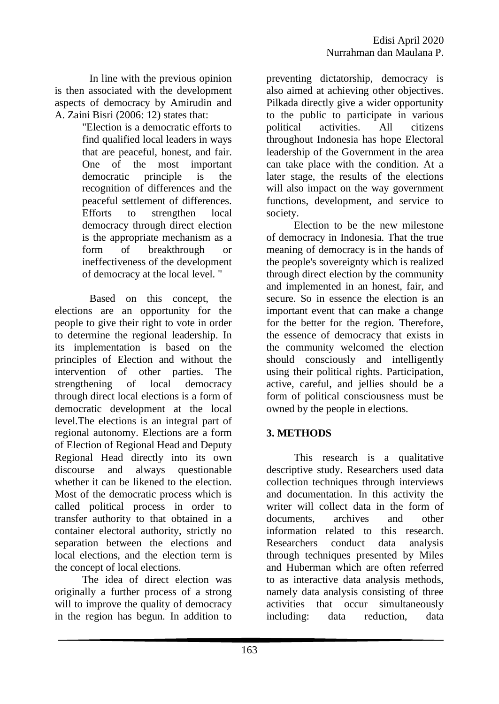In line with the previous opinion is then associated with the development aspects of democracy by Amirudin and A. Zaini Bisri (2006: 12) states that:

> "Election is a democratic efforts to find qualified local leaders in ways that are peaceful, honest, and fair. One of the most important democratic principle is the recognition of differences and the peaceful settlement of differences. Efforts to strengthen local democracy through direct election is the appropriate mechanism as a form of breakthrough or ineffectiveness of the development of democracy at the local level. "

Based on this concept, the elections are an opportunity for the people to give their right to vote in order to determine the regional leadership. In its implementation is based on the principles of Election and without the intervention of other parties. The strengthening of local democracy through direct local elections is a form of democratic development at the local level.The elections is an integral part of regional autonomy. Elections are a form of Election of Regional Head and Deputy Regional Head directly into its own discourse and always questionable whether it can be likened to the election. Most of the democratic process which is called political process in order to transfer authority to that obtained in a container electoral authority, strictly no separation between the elections and local elections, and the election term is the concept of local elections.

The idea of direct election was originally a further process of a strong will to improve the quality of democracy in the region has begun. In addition to

preventing dictatorship, democracy is also aimed at achieving other objectives. Pilkada directly give a wider opportunity to the public to participate in various political activities. All citizens throughout Indonesia has hope Electoral leadership of the Government in the area can take place with the condition. At a later stage, the results of the elections will also impact on the way government functions, development, and service to society.

Election to be the new milestone of democracy in Indonesia. That the true meaning of democracy is in the hands of the people's sovereignty which is realized through direct election by the community and implemented in an honest, fair, and secure. So in essence the election is an important event that can make a change for the better for the region. Therefore, the essence of democracy that exists in the community welcomed the election should consciously and intelligently using their political rights. Participation, active, careful, and jellies should be a form of political consciousness must be owned by the people in elections.

# **3. METHODS**

This research is a qualitative descriptive study. Researchers used data collection techniques through interviews and documentation. In this activity the writer will collect data in the form of documents, archives and other information related to this research. Researchers conduct data analysis through techniques presented by Miles and Huberman which are often referred to as interactive data analysis methods, namely data analysis consisting of three activities that occur simultaneously including: data reduction, data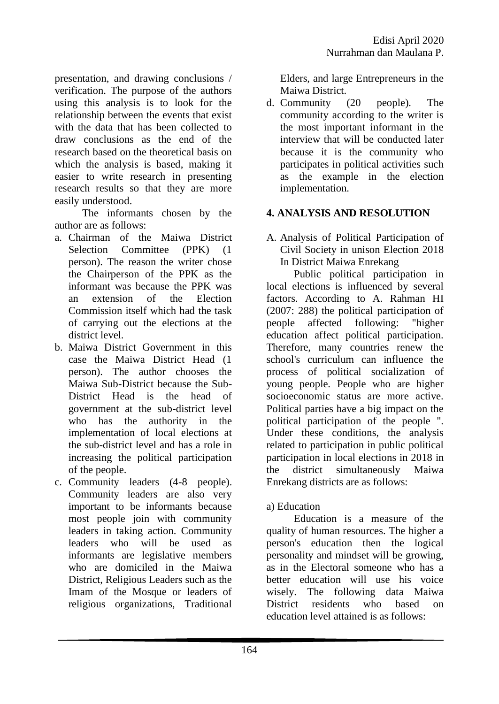presentation, and drawing conclusions / verification. The purpose of the authors using this analysis is to look for the relationship between the events that exist with the data that has been collected to draw conclusions as the end of the research based on the theoretical basis on which the analysis is based, making it easier to write research in presenting research results so that they are more easily understood.

The informants chosen by the author are as follows:

- a. Chairman of the Maiwa District Selection Committee (PPK) (1 person). The reason the writer chose the Chairperson of the PPK as the informant was because the PPK was an extension of the Election Commission itself which had the task of carrying out the elections at the district level.
- b. Maiwa District Government in this case the Maiwa District Head (1 person). The author chooses the Maiwa Sub-District because the Sub-District Head is the head of government at the sub-district level who has the authority in the implementation of local elections at the sub-district level and has a role in increasing the political participation of the people.
- c. Community leaders (4-8 people). Community leaders are also very important to be informants because most people join with community leaders in taking action. Community leaders who will be used as informants are legislative members who are domiciled in the Maiwa District, Religious Leaders such as the Imam of the Mosque or leaders of religious organizations, Traditional

Elders, and large Entrepreneurs in the Maiwa District.

d. Community (20 people). The community according to the writer is the most important informant in the interview that will be conducted later because it is the community who participates in political activities such as the example in the election implementation.

# **4. ANALYSIS AND RESOLUTION**

A. Analysis of Political Participation of Civil Society in unison Election 2018 In District Maiwa Enrekang

Public political participation in local elections is influenced by several factors. According to A. Rahman HI (2007: 288) the political participation of people affected following: "higher education affect political participation. Therefore, many countries renew the school's curriculum can influence the process of political socialization of young people. People who are higher socioeconomic status are more active. Political parties have a big impact on the political participation of the people ". Under these conditions, the analysis related to participation in public political participation in local elections in 2018 in the district simultaneously Maiwa Enrekang districts are as follows:

# a) Education

Education is a measure of the quality of human resources. The higher a person's education then the logical personality and mindset will be growing, as in the Electoral someone who has a better education will use his voice wisely. The following data Maiwa District residents who based on education level attained is as follows: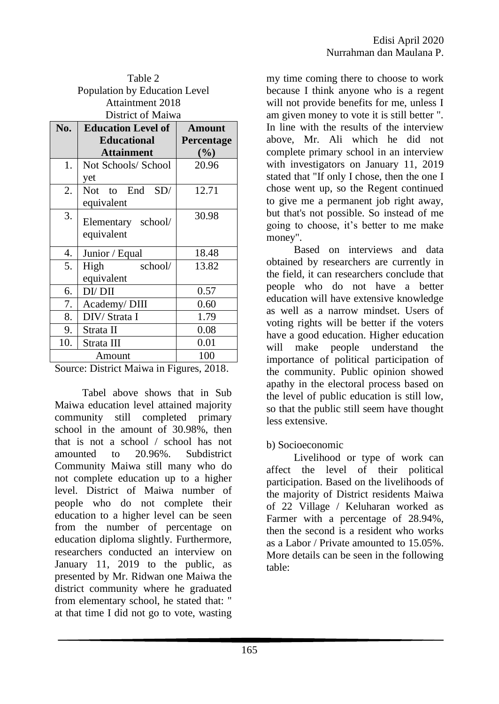| Table 2<br>Population by Education Level |                                            |            |  |  |  |
|------------------------------------------|--------------------------------------------|------------|--|--|--|
| <b>Attaintment 2018</b>                  |                                            |            |  |  |  |
| District of Maiwa                        |                                            |            |  |  |  |
| No.                                      | <b>Education Level of</b><br><b>Amount</b> |            |  |  |  |
|                                          | <b>Educational</b>                         | Percentage |  |  |  |
|                                          | <b>Attainment</b>                          | (%)        |  |  |  |
| 1.                                       | Not Schools/ School                        | 20.96      |  |  |  |
|                                          | yet                                        |            |  |  |  |
| 2.                                       | Not to End SD/                             | 12.71      |  |  |  |
|                                          | equivalent                                 |            |  |  |  |
| 3.                                       | Elementary school/                         | 30.98      |  |  |  |
|                                          | equivalent                                 |            |  |  |  |
|                                          |                                            |            |  |  |  |
| 4.                                       | Junior / Equal                             | 18.48      |  |  |  |
| 5.                                       | school/<br>High                            | 13.82      |  |  |  |
|                                          | equivalent                                 |            |  |  |  |
| 6.                                       | DI/DII                                     | 0.57       |  |  |  |
| 7.                                       | Academy/DIII                               | 0.60       |  |  |  |
| 8.                                       | DIV/Strata I                               | 1.79       |  |  |  |
| 9.                                       | Strata II                                  | 0.08       |  |  |  |
| 10.                                      | Strata III                                 | 0.01       |  |  |  |
|                                          | Amount                                     | 100        |  |  |  |

Source: District Maiwa in Figures, 2018.

Tabel above shows that in Sub Maiwa education level attained majority community still completed primary school in the amount of 30.98%, then that is not a school / school has not amounted to 20.96%. Subdistrict Community Maiwa still many who do not complete education up to a higher level. District of Maiwa number of people who do not complete their education to a higher level can be seen from the number of percentage on education diploma slightly. Furthermore, researchers conducted an interview on January 11, 2019 to the public, as presented by Mr. Ridwan one Maiwa the district community where he graduated from elementary school, he stated that: " at that time I did not go to vote, wasting

my time coming there to choose to work because I think anyone who is a regent will not provide benefits for me, unless I am given money to vote it is still better ". In line with the results of the interview above, Mr. Ali which he did not complete primary school in an interview with investigators on January 11, 2019 stated that "If only I chose, then the one I chose went up, so the Regent continued to give me a permanent job right away, but that's not possible. So instead of me going to choose, it's better to me make money".

Based on interviews and data obtained by researchers are currently in the field, it can researchers conclude that people who do not have a better education will have extensive knowledge as well as a narrow mindset. Users of voting rights will be better if the voters have a good education. Higher education will make people understand the importance of political participation of the community. Public opinion showed apathy in the electoral process based on the level of public education is still low, so that the public still seem have thought less extensive.

#### b) Socioeconomic

Livelihood or type of work can affect the level of their political participation. Based on the livelihoods of the majority of District residents Maiwa of 22 Village / Keluharan worked as Farmer with a percentage of 28.94%, then the second is a resident who works as a Labor / Private amounted to 15.05%. More details can be seen in the following table: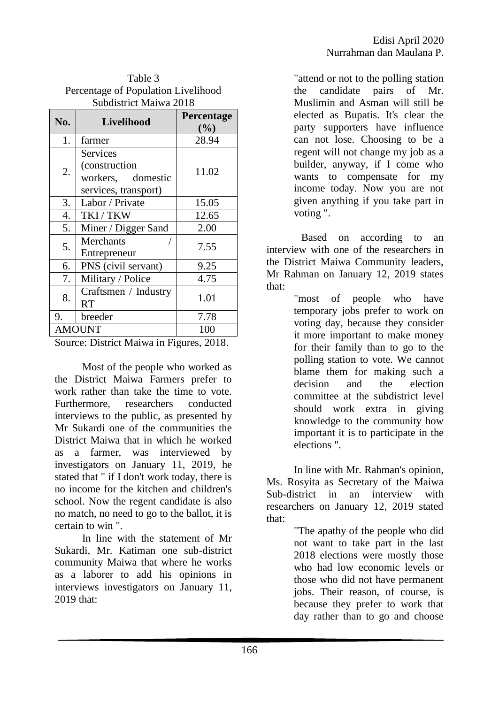| Percentage of Population Livelihood<br>Subdistrict Maiwa 2018 |                                                                            |                      |  |  |
|---------------------------------------------------------------|----------------------------------------------------------------------------|----------------------|--|--|
| No.                                                           | Livelihood                                                                 | Percentage<br>$(\%)$ |  |  |
| 1.                                                            | farmer                                                                     | 28.94                |  |  |
| 2.                                                            | Services<br>(construction)<br>workers,<br>domestic<br>services, transport) | 11.02                |  |  |
| 3.                                                            | Labor / Private                                                            | 15.05                |  |  |
| 4.                                                            | TKI/TKW                                                                    | 12.65                |  |  |
| 5.                                                            | Miner / Digger Sand                                                        | 2.00                 |  |  |
| 5.                                                            | Merchants<br>Entrepreneur                                                  | 7.55                 |  |  |
| 6.                                                            | PNS (civil servant)                                                        | 9.25                 |  |  |
| 7.                                                            | Military / Police                                                          | 4.75                 |  |  |
| 8.                                                            | Craftsmen / Industry<br>RT                                                 | 1.01                 |  |  |
| 9.                                                            | breeder                                                                    | 7.78                 |  |  |
| <b>AMOUNT</b>                                                 |                                                                            | 100                  |  |  |

 $TA$ <sub>a</sub> $\alpha$ 

Source: District Maiwa in Figures, 2018.

Most of the people who worked as the District Maiwa Farmers prefer to work rather than take the time to vote. Furthermore, researchers conducted interviews to the public, as presented by Mr Sukardi one of the communities the District Maiwa that in which he worked as a farmer, was interviewed by investigators on January 11, 2019, he stated that " if I don't work today, there is no income for the kitchen and children's school. Now the regent candidate is also no match, no need to go to the ballot, it is certain to win ".

In line with the statement of Mr Sukardi, Mr. Katiman one sub-district community Maiwa that where he works as a laborer to add his opinions in interviews investigators on January 11, 2019 that:

"attend or not to the polling station the candidate pairs of Mr. Muslimin and Asman will still be elected as Bupatis. It's clear the party supporters have influence can not lose. Choosing to be a regent will not change my job as a builder, anyway, if I come who wants to compensate for my income today. Now you are not given anything if you take part in voting ".

Based on according to an interview with one of the researchers in the District Maiwa Community leaders, Mr Rahman on January 12, 2019 states that:

> "most of people who have temporary jobs prefer to work on voting day, because they consider it more important to make money for their family than to go to the polling station to vote. We cannot blame them for making such a decision and the election committee at the subdistrict level should work extra in giving knowledge to the community how important it is to participate in the elections ".

In line with Mr. Rahman's opinion, Ms. Rosyita as Secretary of the Maiwa Sub-district in an interview with researchers on January 12, 2019 stated that:

> "The apathy of the people who did not want to take part in the last 2018 elections were mostly those who had low economic levels or those who did not have permanent jobs. Their reason, of course, is because they prefer to work that day rather than to go and choose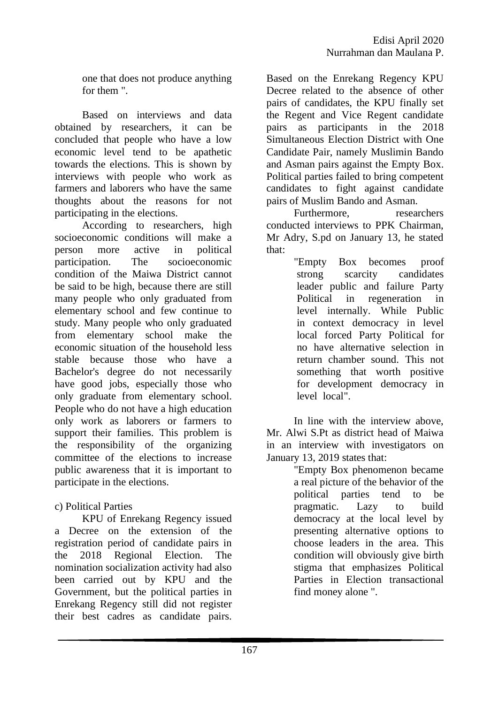one that does not produce anything for them ".

Based on interviews and data obtained by researchers, it can be concluded that people who have a low economic level tend to be apathetic towards the elections. This is shown by interviews with people who work as farmers and laborers who have the same thoughts about the reasons for not participating in the elections.

According to researchers, high socioeconomic conditions will make a person more active in political participation. The socioeconomic condition of the Maiwa District cannot be said to be high, because there are still many people who only graduated from elementary school and few continue to study. Many people who only graduated from elementary school make the economic situation of the household less stable because those who have a Bachelor's degree do not necessarily have good jobs, especially those who only graduate from elementary school. People who do not have a high education only work as laborers or farmers to support their families. This problem is the responsibility of the organizing committee of the elections to increase public awareness that it is important to participate in the elections.

# c) Political Parties

KPU of Enrekang Regency issued a Decree on the extension of the registration period of candidate pairs in the 2018 Regional Election. The nomination socialization activity had also been carried out by KPU and the Government, but the political parties in Enrekang Regency still did not register their best cadres as candidate pairs.

Based on the Enrekang Regency KPU Decree related to the absence of other pairs of candidates, the KPU finally set the Regent and Vice Regent candidate pairs as participants in the 2018 Simultaneous Election District with One Candidate Pair, namely Muslimin Bando and Asman pairs against the Empty Box. Political parties failed to bring competent candidates to fight against candidate pairs of Muslim Bando and Asman.

Furthermore, researchers conducted interviews to PPK Chairman, Mr Adry, S.pd on January 13, he stated that:

"Empty Box becomes proof strong scarcity candidates leader public and failure Party Political in regeneration in level internally. While Public in context democracy in level local forced Party Political for no have alternative selection in return chamber sound. This not something that worth positive for development democracy in level local".

In line with the interview above, Mr. Alwi S.Pt as district head of Maiwa in an interview with investigators on January 13, 2019 states that:

"Empty Box phenomenon became a real picture of the behavior of the political parties tend to be pragmatic. Lazy to build democracy at the local level by presenting alternative options to choose leaders in the area. This condition will obviously give birth stigma that emphasizes Political Parties in Election transactional find money alone ".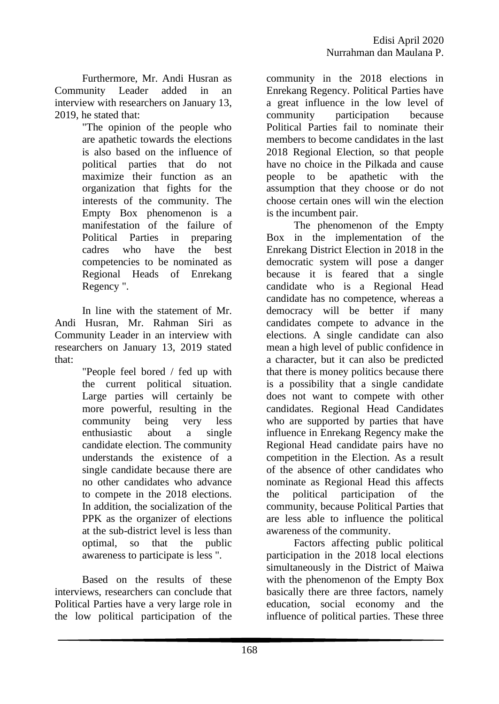Furthermore, Mr. Andi Husran as Community Leader added in an interview with researchers on January 13, 2019, he stated that:

"The opinion of the people who are apathetic towards the elections is also based on the influence of political parties that do not maximize their function as an organization that fights for the interests of the community. The Empty Box phenomenon is a manifestation of the failure of Political Parties in preparing cadres who have the best competencies to be nominated as Regional Heads of Enrekang Regency ".

In line with the statement of Mr. Andi Husran, Mr. Rahman Siri as Community Leader in an interview with researchers on January 13, 2019 stated that:

> "People feel bored / fed up with the current political situation. Large parties will certainly be more powerful, resulting in the community being very less enthusiastic about a single candidate election. The community understands the existence of a single candidate because there are no other candidates who advance to compete in the 2018 elections. In addition, the socialization of the PPK as the organizer of elections at the sub-district level is less than optimal, so that the public awareness to participate is less ".

Based on the results of these interviews, researchers can conclude that Political Parties have a very large role in the low political participation of the community in the 2018 elections in Enrekang Regency. Political Parties have a great influence in the low level of community participation because Political Parties fail to nominate their members to become candidates in the last 2018 Regional Election, so that people have no choice in the Pilkada and cause people to be apathetic with the assumption that they choose or do not choose certain ones will win the election is the incumbent pair.

The phenomenon of the Empty Box in the implementation of the Enrekang District Election in 2018 in the democratic system will pose a danger because it is feared that a single candidate who is a Regional Head candidate has no competence, whereas a democracy will be better if many candidates compete to advance in the elections. A single candidate can also mean a high level of public confidence in a character, but it can also be predicted that there is money politics because there is a possibility that a single candidate does not want to compete with other candidates. Regional Head Candidates who are supported by parties that have influence in Enrekang Regency make the Regional Head candidate pairs have no competition in the Election. As a result of the absence of other candidates who nominate as Regional Head this affects the political participation of the community, because Political Parties that are less able to influence the political awareness of the community.

Factors affecting public political participation in the 2018 local elections simultaneously in the District of Maiwa with the phenomenon of the Empty Box basically there are three factors, namely education, social economy and the influence of political parties. These three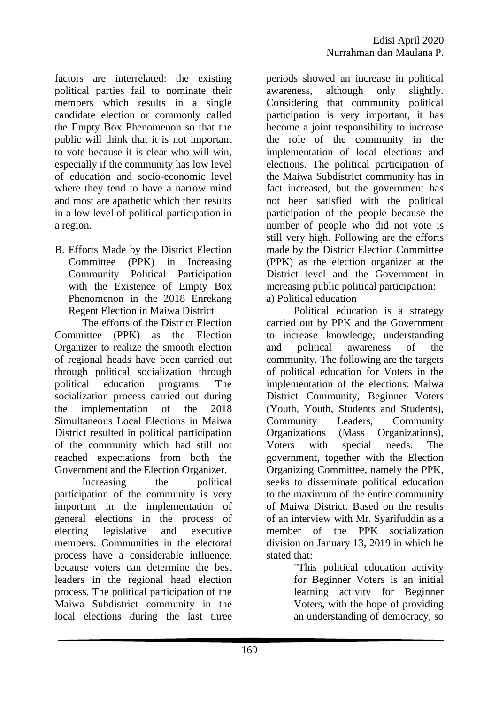factors are interrelated: the existing political parties fail to nominate their members which results in a single candidate election or commonly called the Empty Box Phenomenon so that the public will think that it is not important to vote because it is clear who will win, especially if the community has low level of education and socio-economic level where they tend to have a narrow mind and most are apathetic which then results in a low level of political participation in a region.

B. Efforts Made by the District Election Committee (PPK) in Increasing Community Political Participation with the Existence of Empty Box Phenomenon in the 2018 Enrekang Regent Election in Maiwa District

The efforts of the District Election Committee (PPK) as the Election Organizer to realize the smooth election of regional heads have been carried out through political socialization through political education programs. The socialization process carried out during the implementation of the 2018 Simultaneous Local Elections in Maiwa District resulted in political participation of the community which had still not reached expectations from both the Government and the Election Organizer.

Increasing the political participation of the community is very important in the implementation of general elections in the process of electing legislative and executive members. Communities in the electoral process have a considerable influence, because voters can determine the best leaders in the regional head election process. The political participation of the Maiwa Subdistrict community in the local elections during the last three periods showed an increase in political awareness, although only slightly. Considering that community political participation is very important, it has become a joint responsibility to increase the role of the community in the implementation of local elections and elections. The political participation of the Maiwa Subdistrict community has in fact increased, but the government has not been satisfied with the political participation of the people because the number of people who did not vote is still very high. Following are the efforts made by the District Election Committee (PPK) as the election organizer at the District level and the Government in increasing public political participation: a) Political education

Political education is a strategy carried out by PPK and the Government to increase knowledge, understanding and political awareness of the community. The following are the targets of political education for Voters in the implementation of the elections: Maiwa District Community, Beginner Voters (Youth, Youth, Students and Students), Community Leaders, Community Organizations (Mass Organizations), Voters with special needs. The government, together with the Election Organizing Committee, namely the PPK, seeks to disseminate political education to the maximum of the entire community of Maiwa District. Based on the results of an interview with Mr. Syarifuddin as a member of the PPK socialization division on January 13, 2019 in which he stated that:

> "This political education activity for Beginner Voters is an initial learning activity for Beginner Voters, with the hope of providing an understanding of democracy, so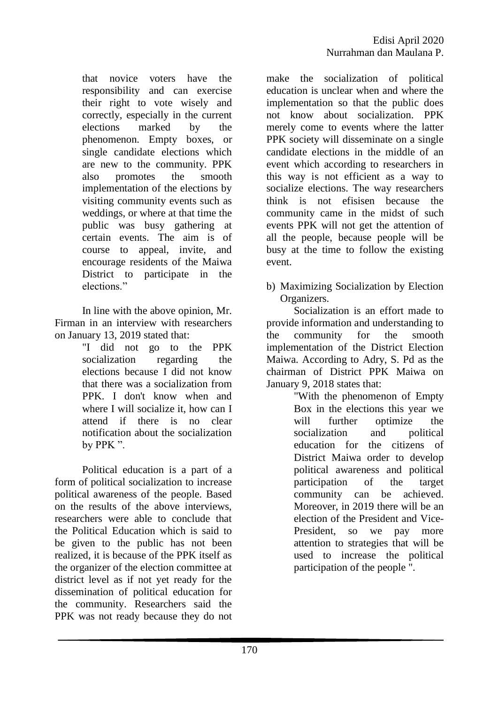that novice voters have the responsibility and can exercise their right to vote wisely and correctly, especially in the current elections marked by the phenomenon. Empty boxes, or single candidate elections which are new to the community. PPK also promotes the smooth implementation of the elections by visiting community events such as weddings, or where at that time the public was busy gathering at certain events. The aim is of course to appeal, invite, and encourage residents of the Maiwa District to participate in the elections."

In line with the above opinion, Mr. Firman in an interview with researchers on January 13, 2019 stated that:

"I did not go to the PPK socialization regarding the elections because I did not know that there was a socialization from PPK. I don't know when and where I will socialize it, how can I attend if there is no clear notification about the socialization by PPK ".

Political education is a part of a form of political socialization to increase political awareness of the people. Based on the results of the above interviews, researchers were able to conclude that the Political Education which is said to be given to the public has not been realized, it is because of the PPK itself as the organizer of the election committee at district level as if not yet ready for the dissemination of political education for the community. Researchers said the PPK was not ready because they do not make the socialization of political education is unclear when and where the implementation so that the public does not know about socialization. PPK merely come to events where the latter PPK society will disseminate on a single candidate elections in the middle of an event which according to researchers in this way is not efficient as a way to socialize elections. The way researchers think is not efisisen because the community came in the midst of such events PPK will not get the attention of all the people, because people will be busy at the time to follow the existing event.

b) Maximizing Socialization by Election Organizers.

Socialization is an effort made to provide information and understanding to the community for the smooth implementation of the District Election Maiwa. According to Adry, S. Pd as the chairman of District PPK Maiwa on January 9, 2018 states that:

> "With the phenomenon of Empty Box in the elections this year we will further optimize the socialization and political education for the citizens of District Maiwa order to develop political awareness and political participation of the target community can be achieved. Moreover, in 2019 there will be an election of the President and Vice-President, so we pay more attention to strategies that will be used to increase the political participation of the people ".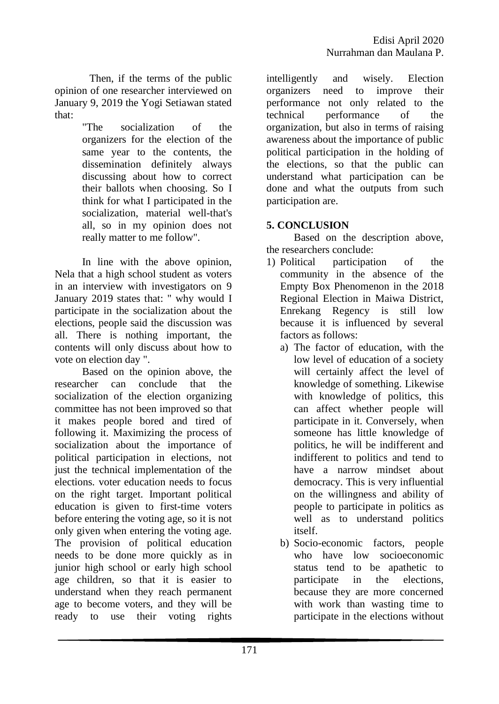Then, if the terms of the public opinion of one researcher interviewed on January 9, 2019 the Yogi Setiawan stated that:

> "The socialization of the organizers for the election of the same year to the contents, the dissemination definitely always discussing about how to correct their ballots when choosing. So I think for what I participated in the socialization, material well-that's all, so in my opinion does not really matter to me follow".

In line with the above opinion, Nela that a high school student as voters in an interview with investigators on 9 January 2019 states that: " why would I participate in the socialization about the elections, people said the discussion was all. There is nothing important, the contents will only discuss about how to vote on election day ".

Based on the opinion above, the researcher can conclude that the socialization of the election organizing committee has not been improved so that it makes people bored and tired of following it. Maximizing the process of socialization about the importance of political participation in elections, not just the technical implementation of the elections. voter education needs to focus on the right target. Important political education is given to first-time voters before entering the voting age, so it is not only given when entering the voting age. The provision of political education needs to be done more quickly as in junior high school or early high school age children, so that it is easier to understand when they reach permanent age to become voters, and they will be ready to use their voting rights

intelligently and wisely. Election organizers need to improve their performance not only related to the technical performance of the organization, but also in terms of raising awareness about the importance of public political participation in the holding of the elections, so that the public can understand what participation can be done and what the outputs from such participation are.

# **5. CONCLUSION**

Based on the description above, the researchers conclude:

- 1) Political participation of the community in the absence of the Empty Box Phenomenon in the 2018 Regional Election in Maiwa District, Enrekang Regency is still low because it is influenced by several factors as follows:
	- a) The factor of education, with the low level of education of a society will certainly affect the level of knowledge of something. Likewise with knowledge of politics, this can affect whether people will participate in it. Conversely, when someone has little knowledge of politics, he will be indifferent and indifferent to politics and tend to have a narrow mindset about democracy. This is very influential on the willingness and ability of people to participate in politics as well as to understand politics itself.
	- b) Socio-economic factors, people who have low socioeconomic status tend to be apathetic to participate in the elections, because they are more concerned with work than wasting time to participate in the elections without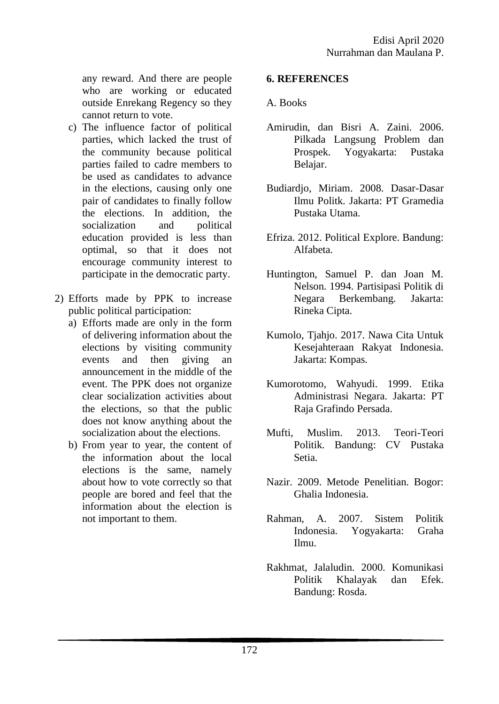any reward. And there are people who are working or educated outside Enrekang Regency so they cannot return to vote.

- c) The influence factor of political parties, which lacked the trust of the community because political parties failed to cadre members to be used as candidates to advance in the elections, causing only one pair of candidates to finally follow the elections. In addition, the socialization and political education provided is less than optimal, so that it does not encourage community interest to participate in the democratic party.
- 2) Efforts made by PPK to increase public political participation:
	- a) Efforts made are only in the form of delivering information about the elections by visiting community events and then giving an announcement in the middle of the event. The PPK does not organize clear socialization activities about the elections, so that the public does not know anything about the socialization about the elections.
	- b) From year to year, the content of the information about the local elections is the same, namely about how to vote correctly so that people are bored and feel that the information about the election is not important to them.

### **6. REFERENCES**

#### A. Books

- Amirudin, dan Bisri A. Zaini. 2006. Pilkada Langsung Problem dan Prospek. Yogyakarta: Pustaka Belajar.
- Budiardjo, Miriam. 2008. Dasar-Dasar Ilmu Politk. Jakarta: PT Gramedia Pustaka Utama.
- Efriza. 2012. Political Explore. Bandung: Alfabeta.
- Huntington, Samuel P. dan Joan M. Nelson. 1994. Partisipasi Politik di Negara Berkembang. Jakarta: Rineka Cipta.
- Kumolo, Tjahjo. 2017. Nawa Cita Untuk Kesejahteraan Rakyat Indonesia. Jakarta: Kompas.
- Kumorotomo, Wahyudi. 1999. Etika Administrasi Negara. Jakarta: PT Raja Grafindo Persada.
- Mufti, Muslim. 2013. Teori-Teori Politik. Bandung: CV Pustaka Setia.
- Nazir. 2009. Metode Penelitian. Bogor: Ghalia Indonesia.
- Rahman, A. 2007. Sistem Politik Indonesia. Yogyakarta: Graha Ilmu.
- Rakhmat, Jalaludin. 2000. Komunikasi Politik Khalayak dan Efek. Bandung: Rosda.